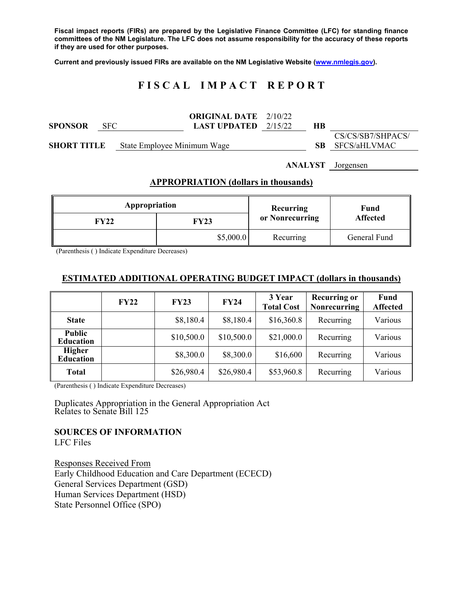**Fiscal impact reports (FIRs) are prepared by the Legislative Finance Committee (LFC) for standing finance committees of the NM Legislature. The LFC does not assume responsibility for the accuracy of these reports if they are used for other purposes.** 

**Current and previously issued FIRs are available on the NM Legislative Website (www.nmlegis.gov).** 

# **F I S C A L I M P A C T R E P O R T**

|                |            |                             | <b>ORIGINAL DATE</b> 2/10/22  |  |    |                        |
|----------------|------------|-----------------------------|-------------------------------|--|----|------------------------|
| <b>SPONSOR</b> | <b>SFC</b> |                             | <b>LAST UPDATED</b> $2/15/22$ |  | НB |                        |
|                |            |                             |                               |  |    | CS/CS/SB7/SHPACS/      |
| SHORT TITLE    |            | State Employee Minimum Wage |                               |  |    | <b>SB</b> SFCS/aHLVMAC |

**ANALYST** Jorgensen

#### **APPROPRIATION (dollars in thousands)**

| Appropriation |             | Recurring       | Fund<br><b>Affected</b> |  |
|---------------|-------------|-----------------|-------------------------|--|
| FY22          | <b>FY23</b> | or Nonrecurring |                         |  |
|               | \$5,000.0   | Recurring       | General Fund            |  |

(Parenthesis ( ) Indicate Expenditure Decreases)

### **ESTIMATED ADDITIONAL OPERATING BUDGET IMPACT (dollars in thousands)**

|                                   | <b>FY22</b> | <b>FY23</b> | <b>FY24</b> | 3 Year<br><b>Total Cost</b> | <b>Recurring or</b><br><b>Nonrecurring</b> | <b>Fund</b><br><b>Affected</b> |
|-----------------------------------|-------------|-------------|-------------|-----------------------------|--------------------------------------------|--------------------------------|
| <b>State</b>                      |             | \$8,180.4   | \$8,180.4   | \$16,360.8                  | Recurring                                  | Various                        |
| <b>Public</b><br><b>Education</b> |             | \$10,500.0  | \$10,500.0  | \$21,000.0                  | Recurring                                  | Various                        |
| <b>Higher</b><br><b>Education</b> |             | \$8,300.0   | \$8,300.0   | \$16,600                    | Recurring                                  | Various                        |
| <b>Total</b>                      |             | \$26,980.4  | \$26,980.4  | \$53,960.8                  | Recurring                                  | Various                        |

(Parenthesis ( ) Indicate Expenditure Decreases)

Duplicates Appropriation in the General Appropriation Act Relates to Senate Bill 125

**SOURCES OF INFORMATION** 

LFC Files

Responses Received From Early Childhood Education and Care Department (ECECD) General Services Department (GSD) Human Services Department (HSD) State Personnel Office (SPO)